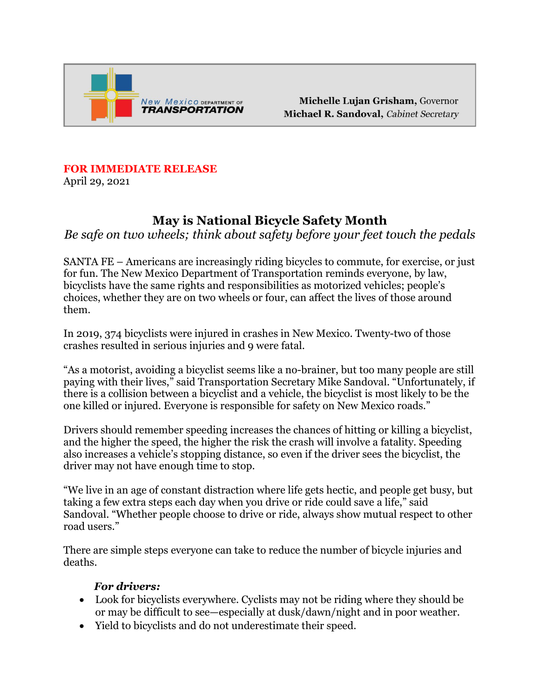

Michelle Lujan Grisham, Governor Michael R. Sandoval, Cabinet Secretary

## **FOR IMMEDIATE RELEASE**

April 29, 2021

# **May is National Bicycle Safety Month**

*Be safe on two wheels; think about safety before your feet touch the pedals*

SANTA FE – Americans are increasingly riding bicycles to commute, for exercise, or just for fun. The New Mexico Department of Transportation reminds everyone, by law, bicyclists have the same rights and responsibilities as motorized vehicles; people's choices, whether they are on two wheels or four, can affect the lives of those around them.

In 2019, 374 bicyclists were injured in crashes in New Mexico. Twenty-two of those crashes resulted in serious injuries and 9 were fatal.

"As a motorist, avoiding a bicyclist seems like a no-brainer, but too many people are still paying with their lives," said Transportation Secretary Mike Sandoval. "Unfortunately, if there is a collision between a bicyclist and a vehicle, the bicyclist is most likely to be the one killed or injured. Everyone is responsible for safety on New Mexico roads."

Drivers should remember speeding increases the chances of hitting or killing a bicyclist, and the higher the speed, the higher the risk the crash will involve a fatality. Speeding also increases a vehicle's stopping distance, so even if the driver sees the bicyclist, the driver may not have enough time to stop.

"We live in an age of constant distraction where life gets hectic, and people get busy, but taking a few extra steps each day when you drive or ride could save a life," said Sandoval. "Whether people choose to drive or ride, always show mutual respect to other road users."

There are simple steps everyone can take to reduce the number of bicycle injuries and deaths.

#### *For drivers:*

- Look for bicyclists everywhere. Cyclists may not be riding where they should be or may be difficult to see—especially at dusk/dawn/night and in poor weather.
- Yield to bicyclists and do not underestimate their speed.